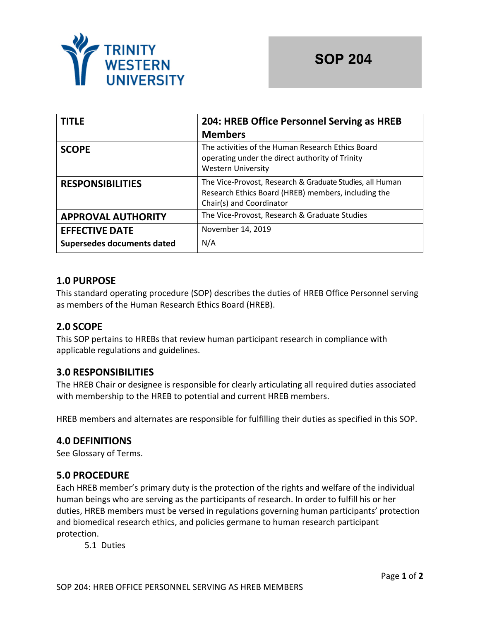

| <b>TITLE</b>               | 204: HREB Office Personnel Serving as HREB                                                                                                  |  |
|----------------------------|---------------------------------------------------------------------------------------------------------------------------------------------|--|
|                            | <b>Members</b>                                                                                                                              |  |
| <b>SCOPE</b>               | The activities of the Human Research Ethics Board<br>operating under the direct authority of Trinity<br><b>Western University</b>           |  |
| <b>RESPONSIBILITIES</b>    | The Vice-Provost, Research & Graduate Studies, all Human<br>Research Ethics Board (HREB) members, including the<br>Chair(s) and Coordinator |  |
| <b>APPROVAL AUTHORITY</b>  | The Vice-Provost, Research & Graduate Studies                                                                                               |  |
| <b>EFFECTIVE DATE</b>      | November 14, 2019                                                                                                                           |  |
| Supersedes documents dated | N/A                                                                                                                                         |  |

# **1.0 PURPOSE**

This standard operating procedure (SOP) describes the duties of HREB Office Personnel serving as members of the Human Research Ethics Board (HREB).

# **2.0 SCOPE**

This SOP pertains to HREBs that review human participant research in compliance with applicable regulations and guidelines.

# **3.0 RESPONSIBILITIES**

The HREB Chair or designee is responsible for clearly articulating all required duties associated with membership to the HREB to potential and current HREB members.

HREB members and alternates are responsible for fulfilling their duties as specified in this SOP.

# **4.0 DEFINITIONS**

See Glossary of Terms.

## **5.0 PROCEDURE**

Each HREB member's primary duty is the protection of the rights and welfare of the individual human beings who are serving as the participants of research. In order to fulfill his or her duties, HREB members must be versed in regulations governing human participants' protection and biomedical research ethics, and policies germane to human research participant protection.

5.1 Duties